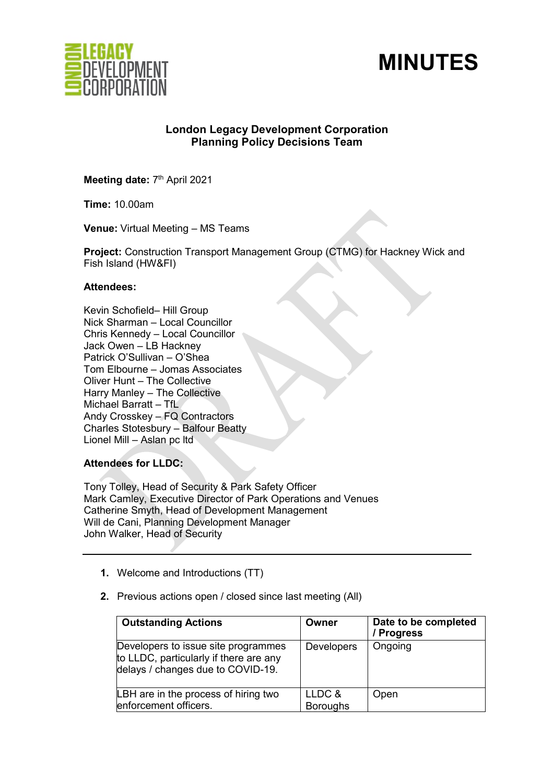



# **London Legacy Development Corporation Planning Policy Decisions Team**

Meeting date: 7<sup>th</sup> April 2021

**Time:** 10.00am

**Venue:** Virtual Meeting – MS Teams

**Project:** Construction Transport Management Group (CTMG) for Hackney Wick and Fish Island (HW&FI)

### **Attendees:**

Kevin Schofield– Hill Group Nick Sharman – Local Councillor Chris Kennedy – Local Councillor Jack Owen – LB Hackney Patrick O'Sullivan – O'Shea Tom Elbourne – Jomas Associates Oliver Hunt – The Collective Harry Manley – The Collective Michael Barratt – TfL Andy Crosskey – FQ Contractors Charles Stotesbury – Balfour Beatty Lionel Mill – Aslan pc ltd

# **Attendees for LLDC:**

Tony Tolley, Head of Security & Park Safety Officer Mark Camley, Executive Director of Park Operations and Venues Catherine Smyth, Head of Development Management Will de Cani, Planning Development Manager John Walker, Head of Security

- **1.** Welcome and Introductions (TT)
- **2.** Previous actions open / closed since last meeting (All)

| <b>Outstanding Actions</b>                                                                                         | Owner             | Date to be completed<br>/ Progress |
|--------------------------------------------------------------------------------------------------------------------|-------------------|------------------------------------|
| Developers to issue site programmes<br>to LLDC, particularly if there are any<br>delays / changes due to COVID-19. | <b>Developers</b> | Ongoing                            |
| LBH are in the process of hiring two                                                                               | LLDC &            | Open                               |
| enforcement officers.                                                                                              | <b>Boroughs</b>   |                                    |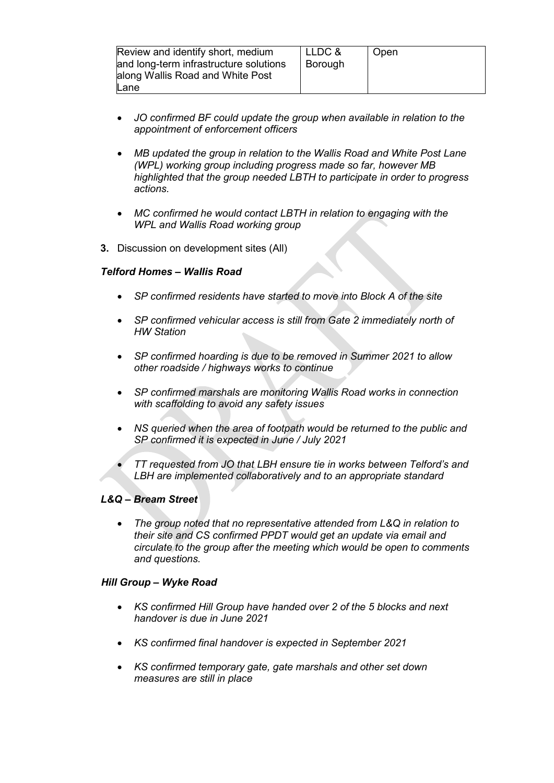| Review and identify short, medium<br>and long-term infrastructure solutions<br>along Wallis Road and White Post | LLDC &<br>Borouah | Open |
|-----------------------------------------------------------------------------------------------------------------|-------------------|------|
| Lane                                                                                                            |                   |      |

- *JO confirmed BF could update the group when available in relation to the appointment of enforcement officers*
- *MB updated the group in relation to the Wallis Road and White Post Lane (WPL) working group including progress made so far, however MB highlighted that the group needed LBTH to participate in order to progress actions.*
- *MC confirmed he would contact LBTH in relation to engaging with the WPL and Wallis Road working group*
- **3.** Discussion on development sites (All)

# *Telford Homes – Wallis Road*

- *SP confirmed residents have started to move into Block A of the site*
- *SP confirmed vehicular access is still from Gate 2 immediately north of HW Station*
- *SP confirmed hoarding is due to be removed in Summer 2021 to allow other roadside / highways works to continue*
- *SP confirmed marshals are monitoring Wallis Road works in connection with scaffolding to avoid any safety issues*
- *NS queried when the area of footpath would be returned to the public and SP confirmed it is expected in June / July 2021*
- *TT requested from JO that LBH ensure tie in works between Telford's and LBH are implemented collaboratively and to an appropriate standard*

# *L&Q – Bream Street*

• *The group noted that no representative attended from L&Q in relation to their site and CS confirmed PPDT would get an update via email and circulate to the group after the meeting which would be open to comments and questions.*

# *Hill Group – Wyke Road*

- *KS confirmed Hill Group have handed over 2 of the 5 blocks and next handover is due in June 2021*
- *KS confirmed final handover is expected in September 2021*
- *KS confirmed temporary gate, gate marshals and other set down measures are still in place*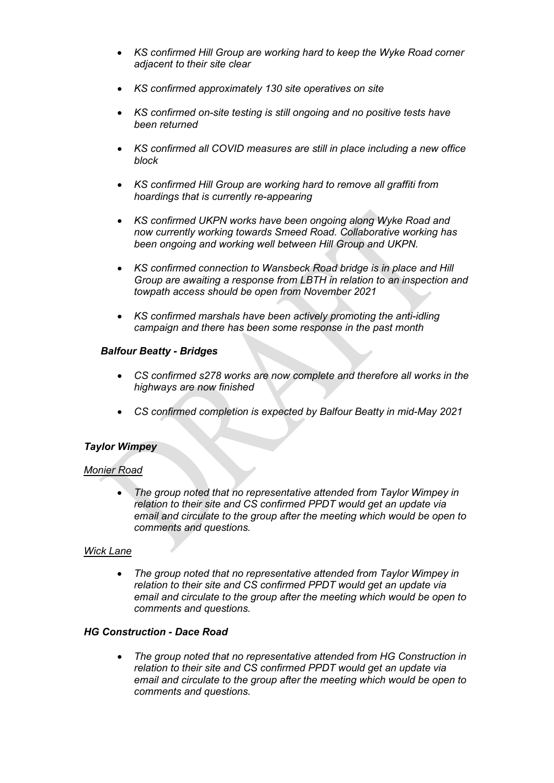- *KS confirmed Hill Group are working hard to keep the Wyke Road corner adjacent to their site clear*
- *KS confirmed approximately 130 site operatives on site*
- *KS confirmed on-site testing is still ongoing and no positive tests have been returned*
- *KS confirmed all COVID measures are still in place including a new office block*
- *KS confirmed Hill Group are working hard to remove all graffiti from hoardings that is currently re-appearing*
- *KS confirmed UKPN works have been ongoing along Wyke Road and now currently working towards Smeed Road. Collaborative working has been ongoing and working well between Hill Group and UKPN.*
- *KS confirmed connection to Wansbeck Road bridge is in place and Hill Group are awaiting a response from LBTH in relation to an inspection and towpath access should be open from November 2021*
- *KS confirmed marshals have been actively promoting the anti-idling campaign and there has been some response in the past month*

### *Balfour Beatty - Bridges*

- *CS confirmed s278 works are now complete and therefore all works in the highways are now finished*
- *CS confirmed completion is expected by Balfour Beatty in mid-May 2021*

# *Taylor Wimpey*

#### *Monier Road*

• *The group noted that no representative attended from Taylor Wimpey in relation to their site and CS confirmed PPDT would get an update via email and circulate to the group after the meeting which would be open to comments and questions.*

#### *Wick Lane*

• *The group noted that no representative attended from Taylor Wimpey in relation to their site and CS confirmed PPDT would get an update via email and circulate to the group after the meeting which would be open to comments and questions.*

#### *HG Construction - Dace Road*

• *The group noted that no representative attended from HG Construction in relation to their site and CS confirmed PPDT would get an update via email and circulate to the group after the meeting which would be open to comments and questions.*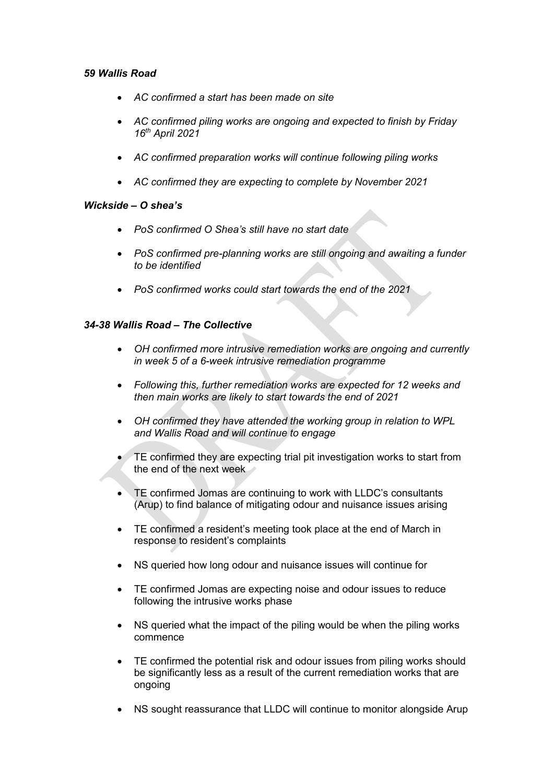# *59 Wallis Road*

- *AC confirmed a start has been made on site*
- *AC confirmed piling works are ongoing and expected to finish by Friday 16th April 2021*
- *AC confirmed preparation works will continue following piling works*
- *AC confirmed they are expecting to complete by November 2021*

# *Wickside – O shea's*

- *PoS confirmed O Shea's still have no start date*
- *PoS confirmed pre-planning works are still ongoing and awaiting a funder to be identified*
- *PoS confirmed works could start towards the end of the 2021*

# *34-38 Wallis Road – The Collective*

- *OH confirmed more intrusive remediation works are ongoing and currently in week 5 of a 6-week intrusive remediation programme*
- *Following this, further remediation works are expected for 12 weeks and then main works are likely to start towards the end of 2021*
- *OH confirmed they have attended the working group in relation to WPL and Wallis Road and will continue to engage*
- TE confirmed they are expecting trial pit investigation works to start from the end of the next week
- TE confirmed Jomas are continuing to work with LLDC's consultants (Arup) to find balance of mitigating odour and nuisance issues arising
- TE confirmed a resident's meeting took place at the end of March in response to resident's complaints
- NS queried how long odour and nuisance issues will continue for
- TE confirmed Jomas are expecting noise and odour issues to reduce following the intrusive works phase
- NS queried what the impact of the piling would be when the piling works commence
- TE confirmed the potential risk and odour issues from piling works should be significantly less as a result of the current remediation works that are ongoing
- NS sought reassurance that LLDC will continue to monitor alongside Arup